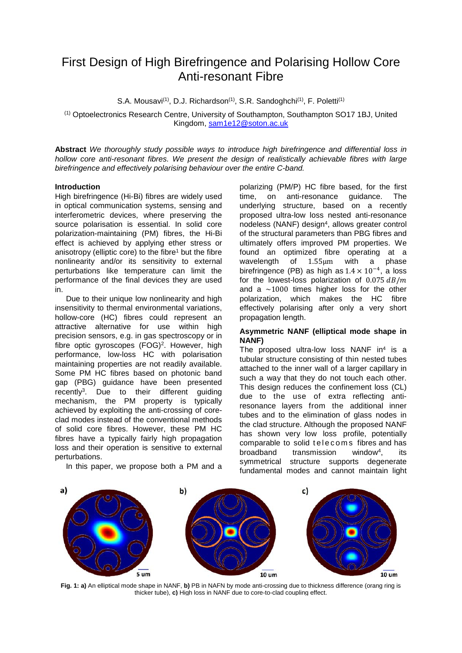# First Design of High Birefringence and Polarising Hollow Core Anti-resonant Fibre

S.A. Mousavi<sup>(1)</sup>, D.J. Richardson<sup>(1)</sup>, S.R. Sandoghchi<sup>(1)</sup>, F. Poletti<sup>(1)</sup>

(1) Optoelectronics Research Centre, University of Southampton, Southampton SO17 1BJ, United Kingdom, [sam1e12@soton.ac.uk](mailto:sam1e12@soton.ac.uk)

**Abstract** *We thoroughly study possible ways to introduce high birefringence and differential loss in hollow core anti-resonant fibres. We present the design of realistically achievable fibres with large birefringence and effectively polarising behaviour over the entire C-band.*

### **Introduction**

High birefringence (Hi-Bi) fibres are widely used in optical communication systems, sensing and interferometric devices, where preserving the source polarisation is essential. In solid core polarization-maintaining (PM) fibres, the Hi-Bi effect is achieved by applying ether stress or anisotropy (elliptic core) to the fibre<sup>1</sup> but the fibre nonlinearity and/or its sensitivity to external perturbations like temperature can limit the performance of the final devices they are used in.

Due to their unique low nonlinearity and high insensitivity to thermal environmental variations, hollow-core (HC) fibres could represent an attractive alternative for use within high precision sensors, e.g. in gas spectroscopy or in fibre optic gyroscopes (FOG)<sup>2</sup>. However, high performance, low-loss HC with polarisation maintaining properties are not readily available. Some PM HC fibres based on photonic band gap (PBG) guidance have been presented recently3. Due to their different guiding mechanism, the PM property is typically achieved by exploiting the anti-crossing of coreclad modes instead of the conventional methods of solid core fibres. However, these PM HC fibres have a typically fairly high propagation loss and their operation is sensitive to external perturbations.

In this paper, we propose both a PM and a

polarizing (PM/P) HC fibre based, for the first time, on anti-resonance quidance. The time, on anti-resonance guidance. The underlying structure, based on a recently proposed ultra-low loss nested anti-resonance nodeless (NANF) design<sup>4</sup>, allows greater control of the structural parameters than PBG fibres and ultimately offers improved PM properties. We found an optimized fibre operating at a of  $1.55 \mu m$  with birefringence (PB) as high as  $1.4 \times 10^{-4}$ , a loss for the lowest-loss polarization of  $0.075$   $dB/m$ and a  $\sim$ 1000 times higher loss for the other polarization, which makes the HC fibre effectively polarising after only a very short propagation length.

## **Asymmetric NANF (elliptical mode shape in NANF)**

The proposed ultra-low loss NANF in<sup>4</sup> is a tubular structure consisting of thin nested tubes attached to the inner wall of a larger capillary in such a way that they do not touch each other. This design reduces the confinement loss (CL) due to the use of extra reflecting antiresonance layers from the additional inner tubes and to the elimination of glass nodes in the clad structure. Although the proposed NANF has shown very low loss profile, potentially comparable to solid telecoms fibres and has broadband transmission window4, its symmetrical structure supports degenerate fundamental modes and cannot maintain light



**Fig. 1: a)** An elliptical mode shape in NANF, **b)** PB in NAFN by mode anti-crossing due to thickness difference (orang ring is thicker tube), **c)** High loss in NANF due to core-to-clad coupling effect.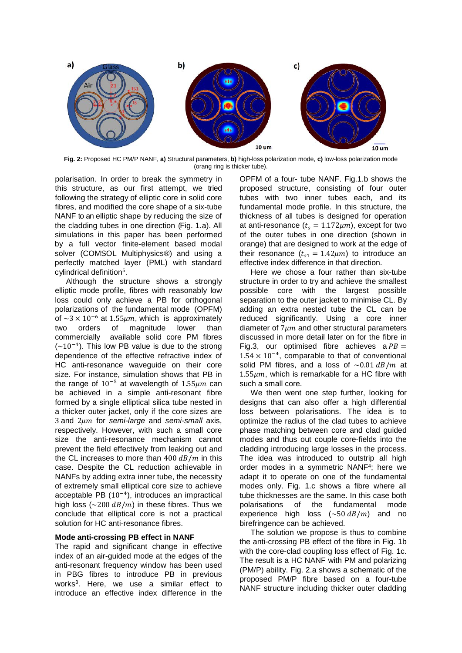

**Fig. 2:** Proposed HC PM/P NANF, **a)** Structural parameters, **b)** high-loss polarization mode, **c)** low-loss polarization mode (orang ring is thicker tube).

polarisation. In order to break the symmetry in this structure, as our first attempt, we tried following the strategy of elliptic core in solid core fibres, and modified the core shape of a six-tube NANF to an elliptic shape by reducing the size of the cladding tubes in one direction (Fig. 1.a). All simulations in this paper has been performed by a full vector finite-element based modal solver (COMSOL Multiphysics®) and using a perfectly matched layer (PML) with standard cylindrical definition5.

Although the structure shows a strongly elliptic mode profile, fibres with reasonably low loss could only achieve a PB for orthogonal polarizations of the fundamental mode (OPFM) of  $\sim$ 3 × 10<sup>-6</sup> at 1.55 $\mu$ m, which is approximately<br>two orders of magnitude lower than lower than commercially available solid core PM fibres  $({\sim}10^{-4})$ . This low PB value is due to the strong dependence of the effective refractive index of HC anti-resonance waveguide on their core size. For instance, simulation shows that PB in the range of  $10^{-5}$  at wavelength of 1.55 $\mu$ m can be achieved in a simple anti-resonant fibre formed by a single elliptical silica tube nested in a thicker outer jacket, only if the core sizes are 3 and 2um for *semi-large* and *semi-small* axis, respectively. However, with such a small core size the anti-resonance mechanism cannot prevent the field effectively from leaking out and the CL increases to more than  $400$   $dB/m$  in this case. Despite the CL reduction achievable in NANFs by adding extra inner tube, the necessity of extremely small elliptical core size to achieve acceptable PB (10−4), introduces an impractical high loss ( $\sim$ 200 dB/m) in these fibres. Thus we conclude that elliptical core is not a practical solution for HC anti-resonance fibres.

### **Mode anti-crossing PB effect in NANF**

The rapid and significant change in effective index of an air-guided mode at the edges of the anti-resonant frequency window has been used in PBG fibres to introduce PB in previous works3. Here, we use a similar effect to introduce an effective index difference in the

OPFM of a four- tube NANF. Fig.1.b shows the proposed structure, consisting of four outer tubes with two inner tubes each, and its fundamental mode profile. In this structure, the thickness of all tubes is designed for operation at anti-resonance  $(t<sub>s</sub> = 1.172 \mu m)$ , except for two of the outer tubes in one direction (shown in orange) that are designed to work at the edge of their resonance  $(t_{s1} = 1.42 \mu m)$  to introduce an effective index difference in that direction.

Here we chose a four rather than six-tube structure in order to try and achieve the smallest possible core with the largest possible separation to the outer jacket to minimise CL. By adding an extra nested tube the CL can be reduced significantly. Using a core inner diameter of  $7 \mu m$  and other structural parameters discussed in more detail later on for the fibre in Fig.3, our optimised fibre achieves a  $PB =$  $1.54 \times 10^{-4}$ , comparable to that of conventional solid PM fibres, and a loss of  $\sim 0.01$  dB/m at  $1.55 \mu m$ , which is remarkable for a HC fibre with such a small core.

We then went one step further, looking for designs that can also offer a high differential loss between polarisations. The idea is to optimize the radius of the clad tubes to achieve phase matching between core and clad guided modes and thus out couple core-fields into the cladding introducing large losses in the process. The idea was introduced to outstrip all high order modes in a symmetric NANF4; here we adapt it to operate on one of the fundamental modes only. Fig. 1.c shows a fibre where all tube thicknesses are the same. In this case both polarisations of the fundamental mode experience high loss  $(\sim 50 \text{ dB/m})$  and no birefringence can be achieved.

The solution we propose is thus to combine the anti-crossing PB effect of the fibre in Fig. 1b with the core-clad coupling loss effect of Fig. 1c. The result is a HC NANF with PM and polarizing (PM/P) ability. Fig. 2.a shows a schematic of the proposed PM/P fibre based on a four-tube NANF structure including thicker outer cladding